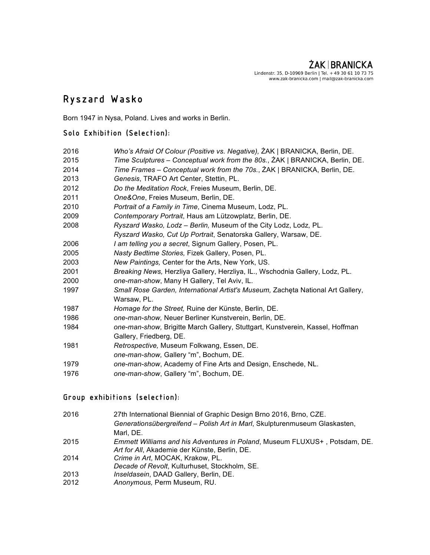# $\overline{a}$ Ryszard Wasko

Born 1947 in Nysa, Poland. Lives and works in Berlin.

# Solo Exhibition (Selection):

| Who's Afraid Of Colour (Positive vs. Negative), ZAK   BRANICKA, Berlin, DE.     |
|---------------------------------------------------------------------------------|
| Time Sculptures - Conceptual work from the 80s., ZAK   BRANICKA, Berlin, DE.    |
| Time Frames - Conceptual work from the 70s., ŻAK   BRANICKA, Berlin, DE.        |
| Genesis, TRAFO Art Center, Stettin, PL.                                         |
| Do the Meditation Rock, Freies Museum, Berlin, DE.                              |
| One&One, Freies Museum, Berlin, DE.                                             |
| Portrait of a Family in Time, Cinema Museum, Lodz, PL.                          |
| Contemporary Portrait, Haus am Lützowplatz, Berlin, DE.                         |
| Ryszard Wasko, Lodz - Berlin, Museum of the City Lodz, Lodz, PL.                |
| Ryszard Wasko, Cut Up Portrait, Senatorska Gallery, Warsaw, DE.                 |
| I am telling you a secret, Signum Gallery, Posen, PL.                           |
| Nasty Bedtime Stories, Fizek Gallery, Posen, PL.                                |
| New Paintings, Center for the Arts, New York, US.                               |
| Breaking News, Herzliya Gallery, Herzliya, IL., Wschodnia Gallery, Lodz, PL.    |
| one-man-show, Many H Gallery, Tel Aviv, IL.                                     |
| Small Rose Garden, International Artist's Museum, Zacheta National Art Gallery, |
| Warsaw, PL.                                                                     |
| Homage for the Street, Ruine der Künste, Berlin, DE.                            |
| one-man-show, Neuer Berliner Kunstverein, Berlin, DE.                           |
| one-man-show, Brigitte March Gallery, Stuttgart, Kunstverein, Kassel, Hoffman   |
| Gallery, Friedberg, DE.                                                         |
| Retrospective, Museum Folkwang, Essen, DE.                                      |
| one-man-show, Gallery "m", Bochum, DE.                                          |
| one-man-show, Academy of Fine Arts and Design, Enschede, NL.                    |
| one-man-show, Gallery "m", Bochum, DE.                                          |
|                                                                                 |

### $\overline{a}$ Group exhibitions (selection):

| 2016 | 27th International Biennial of Graphic Design Brno 2016, Brno, CZE.        |
|------|----------------------------------------------------------------------------|
|      | Generationsübergreifend – Polish Art in Marl, Skulpturenmuseum Glaskasten, |
|      | Marl. DE.                                                                  |
| 2015 | Emmett Williams and his Adventures in Poland, Museum FLUXUS+, Potsdam, DE. |
|      | Art for All, Akademie der Künste, Berlin, DE.                              |
| 2014 | Crime in Art, MOCAK, Krakow, PL.                                           |
|      | Decade of Revolt, Kulturhuset, Stockholm, SE.                              |
| 2013 | Inseldasein, DAAD Gallery, Berlin, DE.                                     |
| 2012 | Anonymous, Perm Museum, RU.                                                |
|      |                                                                            |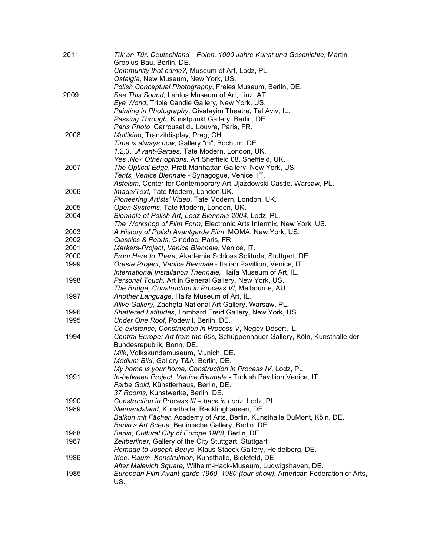| 2011 | Tür an Tür. Deutschland-Polen. 1000 Jahre Kunst und Geschichte, Martin<br>Gropius-Bau, Berlin, DE. |
|------|----------------------------------------------------------------------------------------------------|
|      | Community that came?, Museum of Art, Lodz, PL.                                                     |
|      | Ostalgia, New Museum, New York, US.                                                                |
|      | Polish Conceptual Photography, Freies Museum, Berlin, DE.                                          |
| 2009 | See This Sound, Lentos Museum of Art, Linz, AT.                                                    |
|      | Eye World, Triple Candie Gallery, New York, US.                                                    |
|      | Painting in Photography, Givatayim Theatre, Tel Aviv, IL.                                          |
|      | Passing Through, Kunstpunkt Gallery, Berlin, DE.                                                   |
|      | Paris Photo, Carrousel du Louvre, Paris, FR.                                                       |
| 2008 | Multikino, Tranzitdisplay, Prag, CH.                                                               |
|      | Time is always now, Gallery "m", Bochum, DE.                                                       |
|      | 1,2,3Avant-Gardes, Tate Modern, London, UK.                                                        |
|      | Yes, No? Other options, Art Sheffield 08, Sheffield, UK.                                           |
| 2007 | The Optical Edge, Pratt Manhattan Gallery, New York, US.                                           |
|      | Tents, Venice Biennale - Synagogue, Venice, IT.                                                    |
|      | Asteism, Center for Contemporary Art Ujazdowski Castle, Warsaw, PL.                                |
| 2006 | Image/Text, Tate Modern, London, UK.                                                               |
|      | Pioneering Artists' Video, Tate Modern, London, UK.                                                |
| 2005 | Open Systems, Tate Modern, London, UK.                                                             |
| 2004 | Biennale of Polish Art, Lodz Biennale 2004, Lodz, PL.                                              |
|      | The Workshop of Film Form, Electronic Arts Intermix, New York, US.                                 |
| 2003 | A History of Polish Avantgarde Film, MOMA, New York, US.                                           |
| 2002 | Classics & Pearls, Cinédoc, Paris, FR.                                                             |
| 2001 | Markers-Project, Venice Biennale, Venice, IT.                                                      |
| 2000 | From Here to There, Akademie Schloss Solitude, Stuttgart, DE.                                      |
| 1999 | Oreste Project, Venice Biennale - Italian Pavillion, Venice, IT.                                   |
|      | International Installation Triennale, Haifa Museum of Art, IL.                                     |
| 1998 | Personal Touch, Art in General Gallery, New York, US.                                              |
|      | The Bridge, Construction in Process VI, Melbourne, AU.                                             |
| 1997 | Another Language, Haifa Museum of Art, IL.                                                         |
|      | Alive Gallery, Zachęta National Art Gallery, Warsaw, PL.                                           |
| 1996 | Shattered Latitudes, Lombard Freid Gallery, New York, US.                                          |
| 1995 | Under One Roof, Podewil, Berlin, DE.                                                               |
|      | Co-existence, Construction in Process V, Negev Desert, IL.                                         |
| 1994 | Central Europe: Art from the 60s, Schüppenhauer Gallery, Köln, Kunsthalle der                      |
|      | Bundesrepublik, Bonn, DE.                                                                          |
|      | Milk, Volkskundemuseum, Munich, DE.                                                                |
|      | Medium Bild, Gallery T&A, Berlin, DE.                                                              |
|      | My home is your home, Construction in Process IV, Lodz, PL.                                        |
| 1991 | In-between Project, Venice Biennale - Turkish Pavillion, Venice, IT.                               |
|      | Farbe Gold, Künstlerhaus, Berlin, DE.                                                              |
|      | 37 Rooms, Kunstwerke, Berlin, DE.                                                                  |
| 1990 | Construction in Process III - back in Lodz, Lodz, PL.                                              |
| 1989 | Niemandsland, Kunsthalle, Recklinghausen, DE.                                                      |
|      | Balkon mit Fächer, Academy of Arts, Berlin, Kunsthalle DuMont, Köln, DE.                           |
|      | Berlin's Art Scene, Berlinische Gallery, Berlin, DE.                                               |
| 1988 | Berlin, Cultural City of Europe 1988, Berlin, DE.                                                  |
| 1987 | Zeitberliner, Gallery of the City Stuttgart, Stuttgart                                             |
|      | Homage to Joseph Beuys, Klaus Staeck Gallery, Heidelberg, DE.                                      |
| 1986 | Idee, Raum, Konstruktion, Kunsthalle, Bielefeld, DE.                                               |
|      | After Malevich Square, Wilhelm-Hack-Museum, Ludwigshaven, DE.                                      |
| 1985 | European Film Avant-garde 1960–1980 (tour-show), American Federation of Arts,                      |
|      | US.                                                                                                |